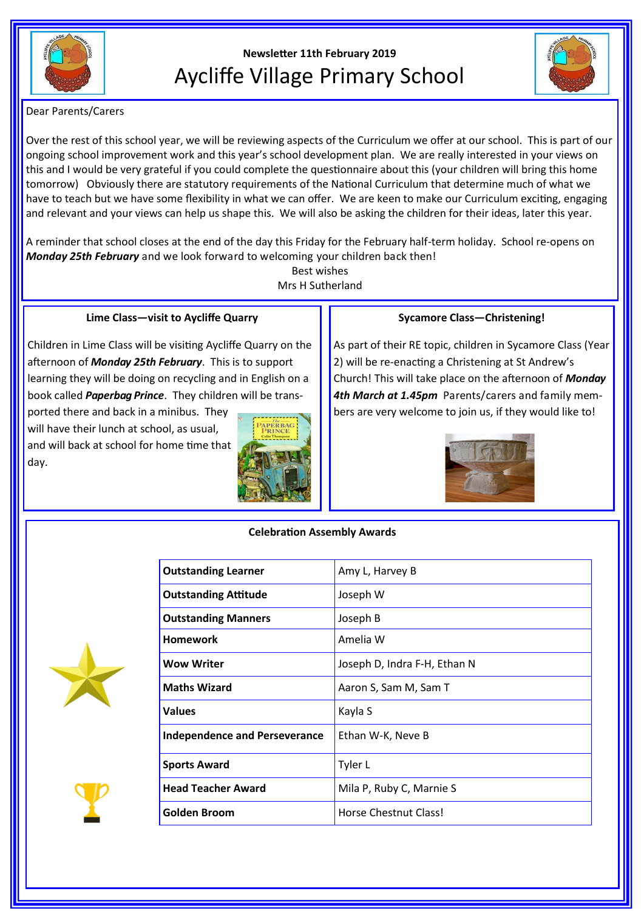

# **Newsletter 11th February 2019** Aycliffe Village Primary School



Dear Parents/Carers

Over the rest of this school year, we will be reviewing aspects of the Curriculum we offer at our school. This is part of our ongoing school improvement work and this year's school development plan. We are really interested in your views on this and I would be very grateful if you could complete the questionnaire about this (your children will bring this home tomorrow) Obviously there are statutory requirements of the National Curriculum that determine much of what we have to teach but we have some flexibility in what we can offer. We are keen to make our Curriculum exciting, engaging and relevant and your views can help us shape this. We will also be asking the children for their ideas, later this year.

A reminder that school closes at the end of the day this Friday for the February half-term holiday. School re-opens on *Monday 25th February* and we look forward to welcoming your children back then!

> Best wishes Mrs H Sutherland

# **Lime Class—visit to Aycliffe Quarry**

Children in Lime Class will be visiting Aycliffe Quarry on the afternoon of *Monday 25th February*. This is to support learning they will be doing on recycling and in English on a book called *Paperbag Prince*. They children will be trans-

ported there and back in a minibus. They will have their lunch at school, as usual, and will back at school for home time that day.



**Outstanding Learner** Amy L, Harvey B

## **Sycamore Class—Christening!**

As part of their RE topic, children in Sycamore Class (Year 2) will be re-enacting a Christening at St Andrew's Church! This will take place on the afternoon of *Monday 4th March at 1.45pm* Parents/carers and family members are very welcome to join us, if they would like to!



# **Celebration Assembly Awards**

| <b>Outstanding Attitude</b>          | Joseph W                     |
|--------------------------------------|------------------------------|
| <b>Outstanding Manners</b>           | Joseph B                     |
| <b>Homework</b>                      | Amelia W                     |
| <b>Wow Writer</b>                    | Joseph D, Indra F-H, Ethan N |
| <b>Maths Wizard</b>                  | Aaron S, Sam M, Sam T        |
| <b>Values</b>                        | Kayla S                      |
| <b>Independence and Perseverance</b> | Ethan W-K, Neve B            |
| <b>Sports Award</b>                  | Tyler L                      |
| <b>Head Teacher Award</b>            | Mila P, Ruby C, Marnie S     |
| <b>Golden Broom</b>                  | Horse Chestnut Class!        |